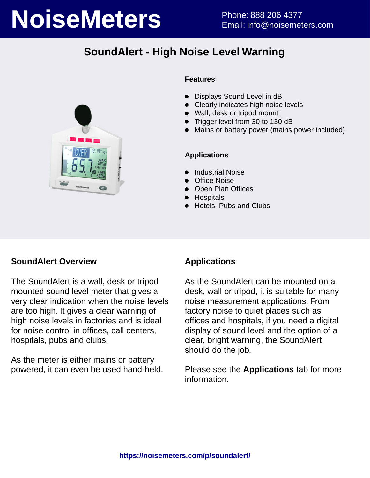# **NoiseMeters** Phone: 888 206 4377

# **SoundAlert - High Noise Level Warning**



### **Features**

- Displays Sound Level in dB
- Clearly indicates high noise levels
- Wall, desk or tripod mount
- Trigger level from 30 to 130 dB
- Mains or battery power (mains power included)

### **Applications**

- Industrial Noise
- Office Noise
- Open Plan Offices
- **•** Hospitals
- Hotels, Pubs and Clubs

### **SoundAlert Overview**

The SoundAlert is a wall, desk or tripod mounted sound level meter that gives a very clear indication when the noise levels are too high. It gives a clear warning of high noise levels in factories and is ideal for noise control in offices, call centers, hospitals, pubs and clubs.

As the meter is either mains or battery powered, it can even be used hand-held.

## **Applications**

As the SoundAlert can be mounted on a desk, wall or tripod, it is suitable for many noise measurement applications. From factory noise to quiet places such as offices and hospitals, if you need a digital display of sound level and the option of a clear, bright warning, the SoundAlert should do the job.

Please see the **Applications** tab for more information.